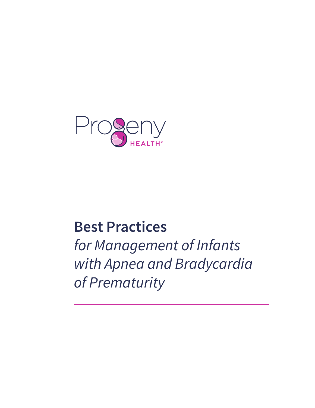

# **Best Practices**

*for Management of Infants with Apnea and Bradycardia of Prematurity*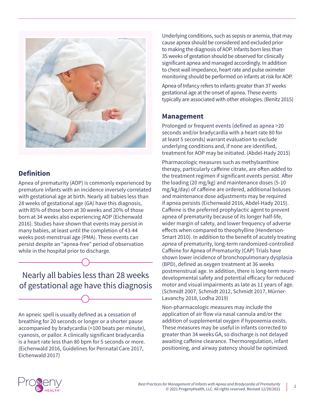

#### **Definition**

Apnea of prematurity (AOP) is commonly experienced by premature infants with an incidence inversely correlated with gestational age at birth. Nearly all babies less than 28 weeks of gestational age (GA) have this diagnosis, with 85% of those born at 30 weeks and 20% of those born at 34 weeks also experiencing AOP (Eichenwald 2016). Studies have shown that events may persist in many babies, at least until the completion of 43-44 weeks post-menstrual age (PMA). These events can persist despite an "apnea-free" period of observation while in the hospital prior to discharge.

Nearly all babies less than 28 weeks of gestational age have this diagnosis

An apneic spell is usually defined as a cessation of breathing for 20 seconds or longer or a shorter pause accompanied by bradycardia (<100 beats per minute), cyanosis, or pallor. A clinically significant bradycardia is a heart rate less than 80 bpm for 5 seconds or more. (Eichenwald 2016, Guidelines for Perinatal Care 2017, Eichenwald 2017)

Underlying conditions, such as sepsis or anemia, that may cause apnea should be considered and excluded prior to making the diagnosis of AOP. Infants born less than 35 weeks of gestation should be observed for clinically significant apnea and managed accordingly. In addition to chest wall impedance, heart rate and pulse oximeter monitoring should be performed on infants at risk for AOP.

Apnea of Infancy refers to infants greater than 37 weeks gestational age at the onset of apnea. These events typically are associated with other etiologies. (Benitz 2015)

#### **Management**

Prolonged or frequent events (defined as apnea >20 seconds and/or bradycardia with a heart rate 80 for at least 5 seconds) warrant evaluation to exclude underlying conditions and, if none are identified, treatment for AOP may be initiated. (Abdel-Hady 2015)

Pharmacologic measures such as methylxanthine therapy, particularly caffeine citrate, are often added to the treatment regimen if significant events persist. After the loading (20 mg/kg) and maintenance doses (5-10 mg/kg/day) of caffeine are ordered, additional boluses and maintenance dose adjustments may be required if apnea persists (Eichenwald 2016, Abdel-Hady 2015). Caffeine is the preferred prophylactic agent to prevent apnea of prematurity because of its longer half-life, wider margin of safety, and lower frequency of adverse effects when compared to theophylline (Henderson-Smart 2010). In addition to the benefit of acutely treating apnea of prematurity, long-term randomized-controlled Caffeine for Apnea of Prematurity (CAP) Trials have shown lower incidence of bronchopulmonary dysplasia (BPD), defined as oxygen treatment at 36 weeks postmenstrual age. In addition, there is long-term neurodevelopmental safety and potential efficacy for reduced motor and visual impairments as late as 11 years of age. (Schmidt 2007, Schmidt 2012, Schmidt 2017, Mürner-Lavanchy 2018, Lodha 2019)

Non-pharmacologic measures may include the application of air flow via nasal cannula and/or the addition of supplemental oxygen if hypoxemia exists. These measures may be useful in infants corrected to greater than 34 weeks GA, so discharge is not delayed awaiting caffeine clearance. Thermoregulation, infant positioning, and airway patency should be optimized.

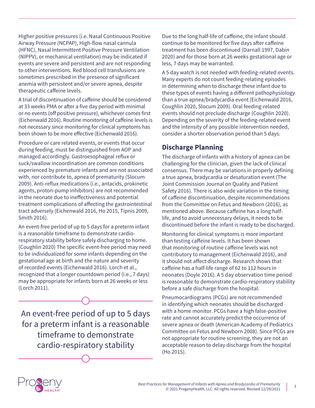Higher positive pressures (i.e. Nasal Continuous Positive Airway Pressure (NCPAP), High-flow nasal cannula (HFNC), Nasal Intermittent Positive Pressure Ventilation (NIPPV), or mechanical ventilation) may be indicated if events are severe and persistent and are not responding to other interventions. Red blood cell transfusions are sometimes prescribed in the presence of significant anemia with persistent and/or severe apnea, despite therapeutic caffeine levels.

A trial of discontinuation of caffeine should be considered at 33 weeks PMA or after a five day period with minimal or no events (off positive pressure), whichever comes first (Eichenwald 2016). Routine monitoring of caffeine levels is not necessary since monitoring for clinical symptoms has been shown to be more effective (Eichenwald 2016).

Procedure or care related events, or events that occur during feeding, must be distinguished from AOP and managed accordingly. Gastroesophageal reflux or suck/swallow incoordination are common conditions experienced by premature infants and are not associated with, nor contribute to, apnea of prematurity (Slocum 2009). Anti-reflux medications (i.e., antacids, prokinetic agents, proton-pump inhibitors) are not recommended in the neonate due to ineffectiveness and potential treatment complications of affecting the gastrointestinal tract adversely (Eichenwald 2016, Ho 2015, Tipnis 2009, Smith 2016).

An event-free period of up to 5 days for a preterm infant is a reasonable timeframe to demonstrate cardiorespiratory stability before safely discharging to home. (Coughlin 2020) The specific event-free period may need to be individualized for some infants depending on the gestational age at birth and the nature and severity of recorded events (Eichenwald 2016). Lorch et al., recognized that a longer countdown period (i.e., 7 days) may be appropriate for infants born at 26 weeks or less (Lorch 2011).

An event-free period of up to 5 days for a preterm infant is a reasonable timeframe to demonstrate cardio-respiratory stability

Due to the long half-life of caffeine, the infant should continue to be monitored for five days after caffeine treatment has been discontinued (Darnall 1997, Dabin 2020) and for those born at 26 weeks gestational age or less, 7 days may be warranted.

A 5 day watch is not needed with feeding-related events. Many experts do not count feeding-relating episodes in determining when to discharge these infant due to these types of events having a different pathophysiology than a true apnea/bradycardia event (Eichenwald 2016, Coughlin 2020, Slocum 2009). Oral feeding-related events should not preclude discharge (Coughlin 2020). Depending on the severity of the feeding-related event and the intensity of any possible intervention needed, consider a shorter observation period than 5 days.

#### **Discharge Planning**

The discharge of infants with a history of apnea can be challenging for the clinician, given the lack of clinical consensus. There may be variations in properly defining a true apnea, bradycardia or desaturation event (The Joint Commission Journal on Quality and Patient Safety 2016). There is also wide variation in the timing of caffeine discontinuation, despite recommendations from the Committee on Fetus and Newborn (2016), as mentioned above. Because caffeine has a long halflife, and to avoid unnecessary delays, it needs to be discontinued before the infant is ready to be discharged.

Monitoring for clinical symptoms is more important than testing caffeine levels. It has been shown that monitoring of routine caffeine levels was not contributory to management (Eichenwald 2016), and it should not affect discharge. Research shows that caffeine has a half-life range of 62 to 112 hours in neonates (Doyle 2016). A 5 day observation time period is reasonable to demonstrate cardio-respiratory stability before a safe discharge from the hospital.

Pneumocardiograms (PCGs) are not recommended in identifying which neonates should be discharged with a home monitor. PCGs have a high false-positive rate and cannot accurately predict the occurrence of severe apnea or death (American Academy of Pediatrics Committee on Fetus and Newborn 2008). Since PCGs are not appropriate for routine screening, they are not an acceptable reason to delay discharge from the hospital (Ho 2015).

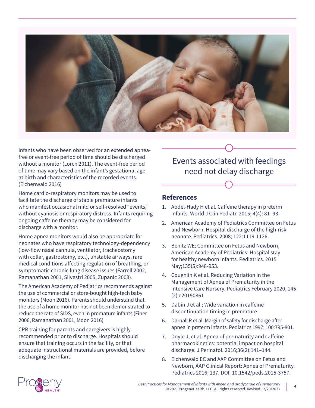

Infants who have been observed for an extended apneafree or event-free period of time should be discharged without a monitor (Lorch 2011). The event-free period of time may vary based on the infant's gestational age at birth and characteristics of the recorded events. (Eichenwald 2016)

Home cardio-respiratory monitors may be used to facilitate the discharge of stable premature infants who manifest occasional mild or self-resolved "events," without cyanosis or respiratory distress. Infants requiring ongoing caffeine therapy may be considered for discharge with a monitor.

Home apnea monitors would also be appropriate for neonates who have respiratory technology-dependency (low-flow nasal cannula, ventilator, tracheostomy with collar, gastrostomy, etc.), unstable airways, rare medical conditions affecting regulation of breathing, or symptomatic chronic lung disease issues (Farrell 2002, Ramanathan 2001, Silvestri 2005, Zupanic 2003).

The American Academy of Pediatrics recommends against the use of commercial or store-bought high-tech baby monitors (Moon 2016). Parents should understand that the use of a home monitor has not been demonstrated to reduce the rate of SIDS, even in premature infants (Finer 2006, Ramanathan 2001, Moon 2016)

CPR training for parents and caregivers is highly recommended prior to discharge. Hospitals should ensure that training occurs in the facility, or that adequate instructional materials are provided, before discharging the infant.

## Events associated with feedings need not delay discharge

#### **References**

- 1. Abdel-Hady H et al. Caffeine therapy in preterm infants. World J Clin Pediatr. 2015; 4(4): 81–93.
- 2. American Academy of Pediatrics Committee on Fetus and Newborn. Hospital discharge of the high-risk neonate. Pediatrics. 2008; 122:1119-1126.
- 3. Benitz WE; Committee on Fetus and Newborn, American Academy of Pediatrics. Hospital stay for healthy newborn infants. Pediatrics. 2015 May;135(5):948-953.
- 4. Coughlin K et al. Reducing Variation in the Management of Apnea of Prematurity in the Intensive Care Nursery. Pediatrics February 2020, 145 (2) e20190861
- 5. Dabin J et al.; Wide variation in caffeine discontinuation timing in premature
- 6. Darnall R et al. Margin of safety for discharge after apnea in preterm infants. Pediatrics 1997; 100:795-801.
- 7. Doyle J, et al. Apnea of prematurity and caffeine pharmacokinetics: potential impact on hospital discharge. J Perinatol. 2016;36(2):141–144.
- 8. Eichenwald EC and AAP Committee on Fetus and Newborn, AAP Clinical Report: Apnea of Prematurity. Pediatrics 2016; 137. DOI: 10.1542/peds.2015-3757.



*Best Practices for Management of Infants with Apnea and Bradycardia of Prematurity* r management or infants with Aphea and Bradycardia or Prematurity (1986)<br>© 2021 ProgenyHealth, LLC. All rights reserved. Revised 12/29/2021